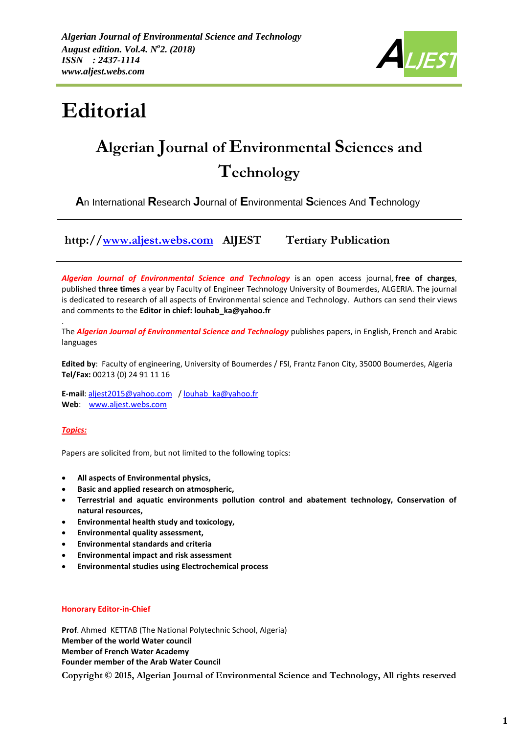

# **Editorial**

## **Algerian Journal of Environmental Sciences and Technology**

**A**n International **R**esearch **J**ournal of **E**nvironmental **S**ciences And **T**echnology

**http:/[/www.aljest.webs.com](http://www.aljest.webs.com/) AlJEST Tertiary Publication** 

*Algerian Journal of Environmental Science and Technology* is an open access journal, **free of charges**, published **three times** a year by Faculty of Engineer Technology University of Boumerdes, ALGERIA. The journal is dedicated to research of all aspects of Environmental science and Technology. Authors can send their views and comments to the **Editor in chief: louhab\_ka@yahoo.fr**

The *Algerian Journal of Environmental Science and Technology* publishes papers, in English, French and Arabic languages

**Edited by**: Faculty of engineering, University of Boumerdes / FSI, Frantz Fanon City, 35000 Boumerdes, Algeria **Tel/Fax:** 00213 (0) 24 91 11 16

**E-mail**[: aljest2015@yahoo.com](mailto:aljest2015@yahoo.com) [/ louhab\\_ka@yahoo.fr](mailto:louhab_ka@yahoo.fr) **Web**: [www.aljest.webs.com](http://www.aljest.webs.com/)

#### *Topics:*

.

Papers are solicited from, but not limited to the following topics:

- **All aspects of Environmental physics,**
- **Basic and applied research on atmospheric,**
- **Terrestrial and aquatic environments pollution control and abatement technology, Conservation of natural resources,**
- **Environmental health study and toxicology,**
- **Environmental quality assessment,**
- **Environmental standards and criteria**
- **Environmental impact and risk assessment**
- **Environmental studies using Electrochemical process**

#### **Honorary Editor-in-Chief**

**Prof**. Ahmed KETTAB (The National Polytechnic School, Algeria) **Member of the world Water council Member of French Water Academy Founder member of the Arab Water Council**

**Copyright © 2015, Algerian Journal of Environmental Science and Technology, All rights reserved**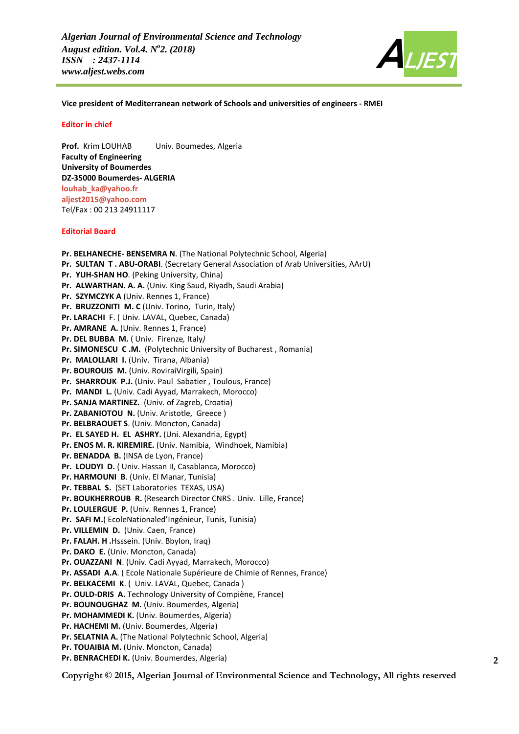

**Vice president of Mediterranean network of Schools and universities of engineers - RMEI**

#### **Editor in chief**

**Prof.** Krim LOUHAB Univ. Boumedes, Algeria **Faculty of Engineering University of Boumerdes DZ-35000 Boumerdes- ALGERIA [louhab\\_ka@yahoo.fr](mailto:Louhab_ka@yahoo.fr) [aljest2015@yahoo.com](mailto:aljest2015@yahoo.com)** Tel/Fax : 00 213 24911117

#### **Editorial Board**

**Pr. BELHANECHE- BENSEMRA N**. (The National Polytechnic School, Algeria) **Pr. SULTAN T . ABU-ORABI**. (Secretary General Association of Arab Universities, AArU) **Pr. YUH-SHAN HO**. (Peking University, China) **Pr. ALWARTHAN. A. A.** (Univ. King Saud, Riyadh, Saudi Arabia) **Pr. SZYMCZYK A** (Univ. Rennes 1, France) **Pr. BRUZZONITI M. C** (Univ. Torino, Turin, Italy) **Pr. LARACHI** F. ( Univ. LAVAL, Quebec, Canada) **Pr. AMRANE A.** (Univ. Rennes 1, France) **Pr. DEL BUBBA M.** ( Univ. Firenze*,* Italy*)* **Pr. SIMONESCU C .M.** (Polytechnic University of Bucharest , Romania) **Pr. MALOLLARI I.** (Univ. Tirana, Albania) **Pr. BOUROUIS M.** (Univ. RoviraiVirgili, Spain) **Pr. SHARROUK P.J.** (Univ. Paul Sabatier , Toulous, France) **Pr. MANDI L.** (Univ. Cadi Ayyad, Marrakech, Morocco) **Pr. SANJA MARTINEZ.** (Univ. of Zagreb, Croatia) **Pr. ZABANIOTOU N.** (Univ. Aristotle, Greece ) **Pr. BELBRAOUET S**. (Univ. Moncton, Canada) **Pr. EL SAYED H. EL ASHRY.** (Uni. Alexandria, Egypt) **Pr. ENOS M. R. KIREMIRE.** (Univ. Namibia, Windhoek, Namibia) **Pr. BENADDA B.** (INSA de Lyon, France) **Pr. LOUDYI D.** ( Univ. Hassan II, Casablanca, Morocco) **Pr. HARMOUNI B**. (Univ. El Manar, Tunisia) **Pr. TEBBAL S.** (SET Laboratories TEXAS, USA) **Pr. BOUKHERROUB R.** (Research Director CNRS . Univ. Lille, France) **Pr. LOULERGUE P.** (Univ. Rennes 1, France) **Pr. SAFI M.**( EcoleNationaled'Ingénieur, Tunis, Tunisia) **Pr. VILLEMIN D.** (Univ. Caen, France) **Pr. FALAH. H .**Hsssein. (Univ. Bbylon, Iraq) **Pr. DAKO E.** (Univ. Moncton, Canada) **Pr. OUAZZANI N**. (Univ. Cadi Ayyad, Marrakech, Morocco) **Pr. ASSADI A.A**. ( Ecole Nationale Supérieure de Chimie of Rennes, France) **Pr. BELKACEMI K**. ( Univ. LAVAL, Quebec, Canada ) **Pr. OULD-DRIS A.** Technology University of Compiène, France) **Pr. BOUNOUGHAZ M.** (Univ. Boumerdes, Algeria) **Pr. MOHAMMEDI K.** (Univ. Boumerdes, Algeria) **Pr. HACHEMI M.** (Univ. Boumerdes, Algeria) **Pr. SELATNIA A.** (The National Polytechnic School, Algeria) **Pr. TOUAIBIA M.** (Univ. Moncton, Canada) **Pr. BENRACHEDI K.** (Univ. Boumerdes, Algeria) **2**

**Copyright © 2015, Algerian Journal of Environmental Science and Technology, All rights reserved**